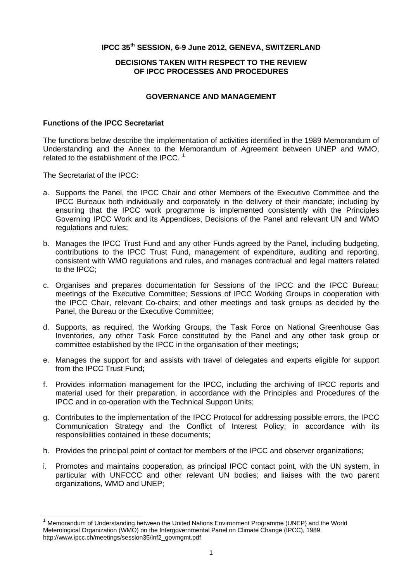### **IPCC 35th SESSION, 6-9 June 2012, GENEVA, SWITZERLAND**

## **DECISIONS TAKEN WITH RESPECT TO THE REVIEW OF IPCC PROCESSES AND PROCEDURES**

# **GOVERNANCE AND MANAGEMENT**

#### **Functions of the IPCC Secretariat**

The functions below describe the implementation of activities identified in the 1989 Memorandum of Understanding and the Annex to the Memorandum of Agreement between UNEP and WMO, related to the establishment of the IPCC.  $1$ 

The Secretariat of the IPCC:

l

- a. Supports the Panel, the IPCC Chair and other Members of the Executive Committee and the IPCC Bureaux both individually and corporately in the delivery of their mandate; including by ensuring that the IPCC work programme is implemented consistently with the Principles Governing IPCC Work and its Appendices, Decisions of the Panel and relevant UN and WMO regulations and rules;
- b. Manages the IPCC Trust Fund and any other Funds agreed by the Panel, including budgeting, contributions to the IPCC Trust Fund, management of expenditure, auditing and reporting, consistent with WMO regulations and rules, and manages contractual and legal matters related to the IPCC;
- c. Organises and prepares documentation for Sessions of the IPCC and the IPCC Bureau; meetings of the Executive Committee; Sessions of IPCC Working Groups in cooperation with the IPCC Chair, relevant Co-chairs; and other meetings and task groups as decided by the Panel, the Bureau or the Executive Committee;
- d. Supports, as required, the Working Groups, the Task Force on National Greenhouse Gas Inventories, any other Task Force constituted by the Panel and any other task group or committee established by the IPCC in the organisation of their meetings;
- e. Manages the support for and assists with travel of delegates and experts eligible for support from the IPCC Trust Fund;
- f. Provides information management for the IPCC, including the archiving of IPCC reports and material used for their preparation, in accordance with the Principles and Procedures of the IPCC and in co-operation with the Technical Support Units;
- g. Contributes to the implementation of the IPCC Protocol for addressing possible errors, the IPCC Communication Strategy and the Conflict of Interest Policy; in accordance with its responsibilities contained in these documents;
- h. Provides the principal point of contact for members of the IPCC and observer organizations;
- i. Promotes and maintains cooperation, as principal IPCC contact point, with the UN system, in particular with UNFCCC and other relevant UN bodies; and liaises with the two parent organizations, WMO and UNEP;

<span id="page-0-0"></span><sup>&</sup>lt;sup>1</sup> Memorandum of Understanding between the United Nations Environment Programme (UNEP) and the World Meterological Organization (WMO) on the Intergovernmental Panel on Climate Change (IPCC), 1989. http://www.ipcc.ch/meetings/session35/inf2\_govmgmt.pdf